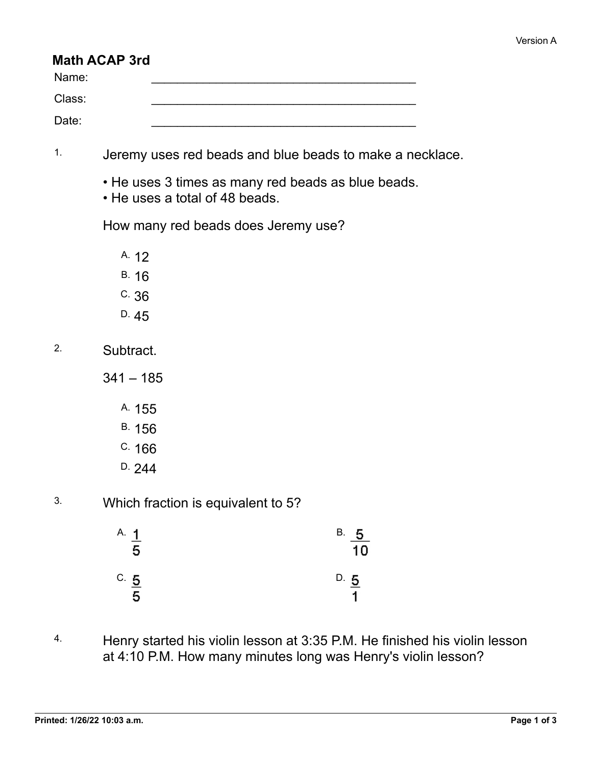## **Math ACAP 3rd**

| Name:  |  |
|--------|--|
| Class: |  |
| Date:  |  |

- 1. Jeremy uses red beads and blue beads to make a necklace.
	- He uses 3 times as many red beads as blue beads.
	- He uses a total of 48 beads.

How many red beads does Jeremy use?

A. 12

- B. 16
- C. 36
- D. 45

2. Subtract.

 $341 - 185$ 

A. 155

- B. 156
- C. 166
- D. 244
- 3. Which fraction is equivalent to 5?

| A. 1<br>$\frac{1}{5}$ | В.<br>$\frac{5}{10}$    |
|-----------------------|-------------------------|
| $\frac{C}{2}$<br>5    | $D. \underline{5}$<br>4 |

4. Henry started his violin lesson at 3:35 P.M. He finished his violin lesson at 4:10 P.M. How many minutes long was Henry's violin lesson?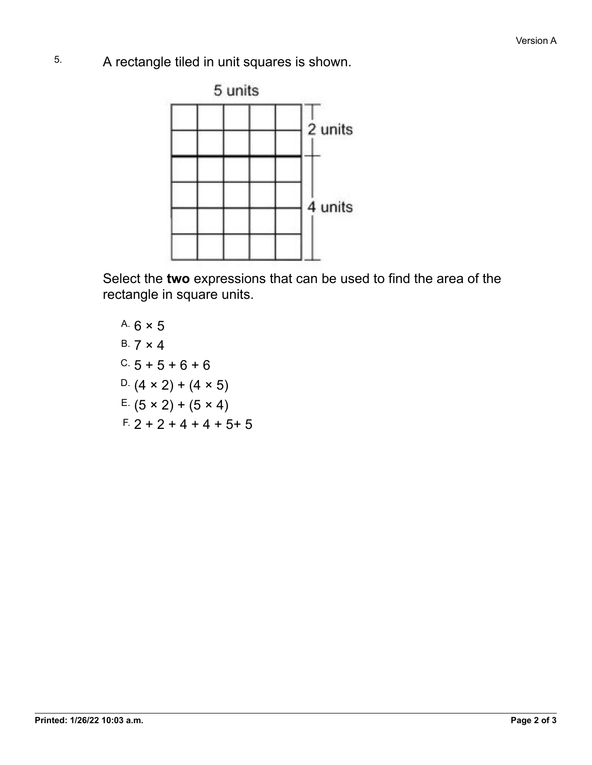5. A rectangle tiled in unit squares is shown.



Select the **two** expressions that can be used to find the area of the rectangle in square units.

A. 
$$
6 \times 5
$$
  
\nB.  $7 \times 4$   
\nC.  $5 + 5 + 6 + 6$   
\nD.  $(4 \times 2) + (4 \times 5)$   
\nE.  $(5 \times 2) + (5 \times 4)$   
\nE.  $2 + 2 + 4 + 4 + 5 + 5$